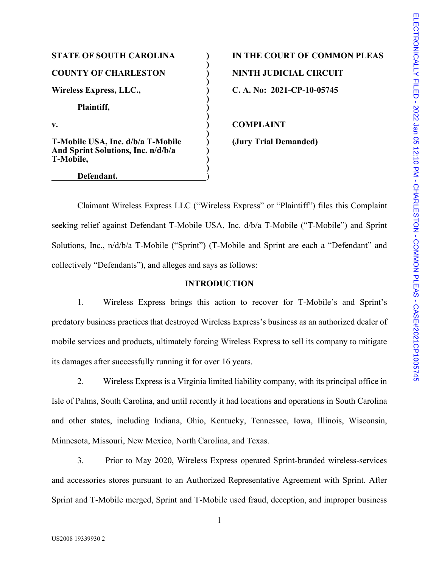## **COUNTY OF CHARLESTON ) NINTH JUDICIAL CIRCUIT**  Wireless Express, LLC., **C. A. No: 2021-CP-10-05745 Plaintiff, )**  v. **COMPLAINT T-Mobile USA, Inc. d/b/a T-Mobile ) (Jury Trial Demanded) And Sprint Solutions, Inc. n/d/b/a ) T-Mobile, )**

#### **Defendant.** )

# **STATE OF SOUTH CAROLINA ) IN THE COURT OF COMMON PLEAS**

Claimant Wireless Express LLC ("Wireless Express" or "Plaintiff") files this Complaint seeking relief against Defendant T-Mobile USA, Inc. d/b/a T-Mobile ("T-Mobile") and Sprint Solutions, Inc., n/d/b/a T-Mobile ("Sprint") (T-Mobile and Sprint are each a "Defendant" and collectively "Defendants"), and alleges and says as follows:

**)** 

**)** 

**)** 

**)** 

**)** 

**)** 

#### **INTRODUCTION**

1. Wireless Express brings this action to recover for T-Mobile's and Sprint's predatory business practices that destroyed Wireless Express's business as an authorized dealer of mobile services and products, ultimately forcing Wireless Express to sell its company to mitigate its damages after successfully running it for over 16 years.

2. Wireless Express is a Virginia limited liability company, with its principal office in Isle of Palms, South Carolina, and until recently it had locations and operations in South Carolina and other states, including Indiana, Ohio, Kentucky, Tennessee, Iowa, Illinois, Wisconsin, Minnesota, Missouri, New Mexico, North Carolina, and Texas.

3. Prior to May 2020, Wireless Express operated Sprint-branded wireless-services and accessories stores pursuant to an Authorized Representative Agreement with Sprint. After Sprint and T-Mobile merged, Sprint and T-Mobile used fraud, deception, and improper business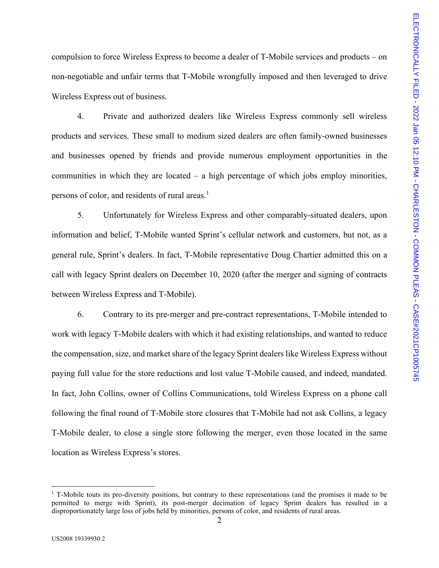compulsion to force Wireless Express to become a dealer of T-Mobile services and products – on non-negotiable and unfair terms that T-Mobile wrongfully imposed and then leveraged to drive Wireless Express out of business.

4. Private and authorized dealers like Wireless Express commonly sell wireless products and services. These small to medium sized dealers are often family-owned businesses and businesses opened by friends and provide numerous employment opportunities in the communities in which they are located  $-$  a high percentage of which jobs employ minorities, persons of color, and residents of rural areas[.](#page-1-0) $<sup>1</sup>$ </sup>

5. Unfortunately for Wireless Express and other comparably-situated dealers, upon information and belief, T-Mobile wanted Sprint's cellular network and customers, but not, as a general rule, Sprint's dealers. In fact, T-Mobile representative Doug Chartier admitted this on a call with legacy Sprint dealers on December 10, 2020 (after the merger and signing of contracts between Wireless Express and T-Mobile).

6. Contrary to its pre-merger and pre-contract representations, T-Mobile intended to work with legacy T-Mobile dealers with which it had existing relationships, and wanted to reduce the compensation, size, and market share of the legacy Sprint dealers like Wireless Express without paying full value for the store reductions and lost value T-Mobile caused, and indeed, mandated. In fact, John Collins, owner of Collins Communications, told Wireless Express on a phone call following the final round of T-Mobile store closures that T-Mobile had not ask Collins, a legacy T-Mobile dealer, to close a single store following the merger, even those located in the same location as Wireless Express's stores.

<span id="page-1-0"></span><sup>&</sup>lt;sup>1</sup> T-Mobile touts its pro-diversity positions, but contrary to these representations (and the promises it made to be permitted to merge with Sprint), its post-merger decimation of legacy Sprint dealers has resulted in a disproportionately large loss of jobs held by minorities, persons of color, and residents of rural areas.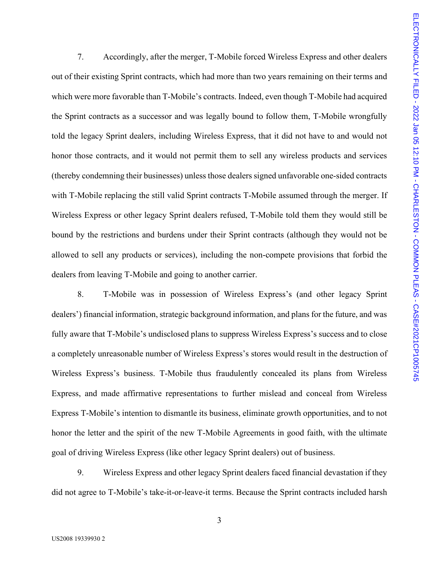7. Accordingly, after the merger, T-Mobile forced Wireless Express and other dealers out of their existing Sprint contracts, which had more than two years remaining on their terms and which were more favorable than T-Mobile's contracts. Indeed, even though T-Mobile had acquired the Sprint contracts as a successor and was legally bound to follow them, T-Mobile wrongfully told the legacy Sprint dealers, including Wireless Express, that it did not have to and would not honor those contracts, and it would not permit them to sell any wireless products and services (thereby condemning their businesses) unless those dealers signed unfavorable one-sided contracts with T-Mobile replacing the still valid Sprint contracts T-Mobile assumed through the merger. If Wireless Express or other legacy Sprint dealers refused, T-Mobile told them they would still be bound by the restrictions and burdens under their Sprint contracts (although they would not be allowed to sell any products or services), including the non-compete provisions that forbid the dealers from leaving T-Mobile and going to another carrier.

8. T-Mobile was in possession of Wireless Express's (and other legacy Sprint dealers') financial information, strategic background information, and plans for the future, and was fully aware that T-Mobile's undisclosed plans to suppress Wireless Express's success and to close a completely unreasonable number of Wireless Express's stores would result in the destruction of Wireless Express's business. T-Mobile thus fraudulently concealed its plans from Wireless Express, and made affirmative representations to further mislead and conceal from Wireless Express T-Mobile's intention to dismantle its business, eliminate growth opportunities, and to not honor the letter and the spirit of the new T-Mobile Agreements in good faith, with the ultimate goal of driving Wireless Express (like other legacy Sprint dealers) out of business.

9. Wireless Express and other legacy Sprint dealers faced financial devastation if they did not agree to T-Mobile's take-it-or-leave-it terms. Because the Sprint contracts included harsh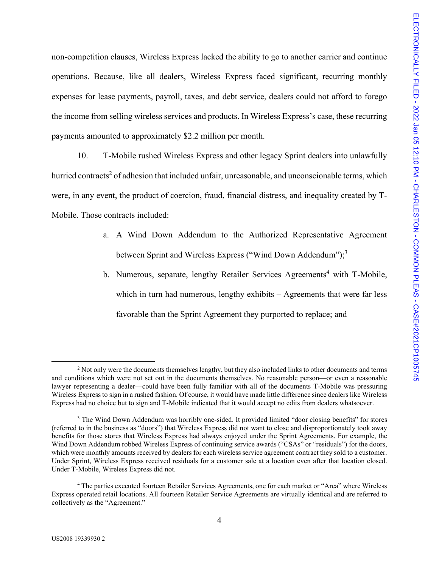non-competition clauses, Wireless Express lacked the ability to go to another carrier and continue operations. Because, like all dealers, Wireless Express faced significant, recurring monthly expenses for lease payments, payroll, taxes, and debt service, dealers could not afford to forego the income from selling wireless services and products. In Wireless Express's case, these recurring payments amounted to approximately \$2.2 million per month.

10. T-Mobile rushed Wireless Express and other legacy Sprint dealers into unlawfully hurried contracts<sup>2</sup> [o](#page-3-0)f adhesion that included unfair, unreasonable, and unconscionable terms, which were, in any event, the product of coercion, fraud, financial distress, and inequality created by T-Mobile. Those contracts included:

- a. A Wind Down Addendum to the Authorized Representative Agreement between Sprint and Wireless Express ("Wind Down Addendum");<sup>[3](#page-3-1)</sup>
- b.Numerous, separate, lengthy Retailer Services Agreements<sup>4</sup> with T-Mobile, which in turn had numerous, lengthy exhibits – Agreements that were far less favorable than the Sprint Agreement they purported to replace; and

<span id="page-3-0"></span><sup>&</sup>lt;sup>2</sup> Not only were the documents themselves lengthy, but they also included links to other documents and terms and conditions which were not set out in the documents themselves. No reasonable person—or even a reasonable lawyer representing a dealer—could have been fully familiar with all of the documents T-Mobile was pressuring Wireless Express to sign in a rushed fashion. Of course, it would have made little difference since dealers like Wireless Express had no choice but to sign and T-Mobile indicated that it would accept no edits from dealers whatsoever.

<span id="page-3-1"></span><sup>&</sup>lt;sup>3</sup> The Wind Down Addendum was horribly one-sided. It provided limited "door closing benefits" for stores (referred to in the business as "doors") that Wireless Express did not want to close and disproportionately took away benefits for those stores that Wireless Express had always enjoyed under the Sprint Agreements. For example, the Wind Down Addendum robbed Wireless Express of continuing service awards ("CSAs" or "residuals") for the doors, which were monthly amounts received by dealers for each wireless service agreement contract they sold to a customer. Under Sprint, Wireless Express received residuals for a customer sale at a location even after that location closed. Under T-Mobile, Wireless Express did not.

<span id="page-3-2"></span><sup>&</sup>lt;sup>4</sup> The parties executed fourteen Retailer Services Agreements, one for each market or "Area" where Wireless Express operated retail locations. All fourteen Retailer Service Agreements are virtually identical and are referred to collectively as the "Agreement."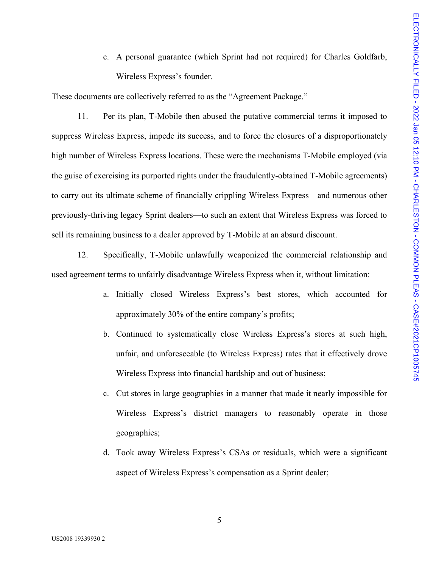c. A personal guarantee (which Sprint had not required) for Charles Goldfarb, Wireless Express's founder.

These documents are collectively referred to as the "Agreement Package."

11. Per its plan, T-Mobile then abused the putative commercial terms it imposed to suppress Wireless Express, impede its success, and to force the closures of a disproportionately high number of Wireless Express locations. These were the mechanisms T-Mobile employed (via the guise of exercising its purported rights under the fraudulently-obtained T-Mobile agreements) to carry out its ultimate scheme of financially crippling Wireless Express—and numerous other previously-thriving legacy Sprint dealers—to such an extent that Wireless Express was forced to sell its remaining business to a dealer approved by T-Mobile at an absurd discount.

12. Specifically, T-Mobile unlawfully weaponized the commercial relationship and used agreement terms to unfairly disadvantage Wireless Express when it, without limitation:

- a. Initially closed Wireless Express's best stores, which accounted for approximately 30% of the entire company's profits;
- b. Continued to systematically close Wireless Express's stores at such high, unfair, and unforeseeable (to Wireless Express) rates that it effectively drove Wireless Express into financial hardship and out of business;
- c. Cut stores in large geographies in a manner that made it nearly impossible for Wireless Express's district managers to reasonably operate in those geographies;
- d. Took away Wireless Express's CSAs or residuals, which were a significant aspect of Wireless Express's compensation as a Sprint dealer;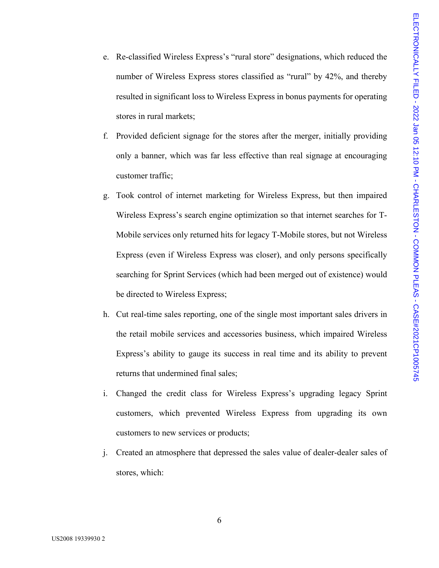- e. Re-classified Wireless Express's "rural store" designations, which reduced the number of Wireless Express stores classified as "rural" by 42%, and thereby resulted in significant loss to Wireless Express in bonus payments for operating stores in rural markets;
- f. Provided deficient signage for the stores after the merger, initially providing only a banner, which was far less effective than real signage at encouraging customer traffic;
- g. Took control of internet marketing for Wireless Express, but then impaired Wireless Express's search engine optimization so that internet searches for T-Mobile services only returned hits for legacy T-Mobile stores, but not Wireless Express (even if Wireless Express was closer), and only persons specifically searching for Sprint Services (which had been merged out of existence) would be directed to Wireless Express;
- h. Cut real-time sales reporting, one of the single most important sales drivers in the retail mobile services and accessories business, which impaired Wireless Express's ability to gauge its success in real time and its ability to prevent returns that undermined final sales;
- i. Changed the credit class for Wireless Express's upgrading legacy Sprint customers, which prevented Wireless Express from upgrading its own customers to new services or products;
- j. Created an atmosphere that depressed the sales value of dealer-dealer sales of stores, which: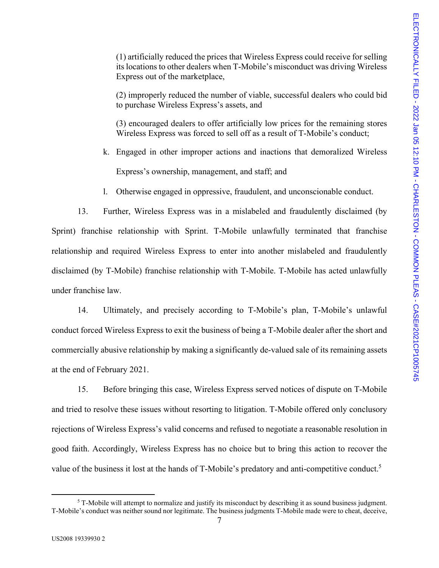(1) artificially reduced the prices that Wireless Express could receive for selling its locations to other dealers when T-Mobile's misconduct was driving Wireless Express out of the marketplace,

(2) improperly reduced the number of viable, successful dealers who could bid to purchase Wireless Express's assets, and

(3) encouraged dealers to offer artificially low prices for the remaining stores Wireless Express was forced to sell off as a result of T-Mobile's conduct;

- k. Engaged in other improper actions and inactions that demoralized Wireless Express's ownership, management, and staff; and
- l. Otherwise engaged in oppressive, fraudulent, and unconscionable conduct.

13. Further, Wireless Express was in a mislabeled and fraudulently disclaimed (by Sprint) franchise relationship with Sprint. T-Mobile unlawfully terminated that franchise relationship and required Wireless Express to enter into another mislabeled and fraudulently disclaimed (by T-Mobile) franchise relationship with T-Mobile. T-Mobile has acted unlawfully under franchise law.

14. Ultimately, and precisely according to T-Mobile's plan, T-Mobile's unlawful conduct forced Wireless Express to exit the business of being a T-Mobile dealer after the short and commercially abusive relationship by making a significantly de-valued sale of its remaining assets at the end of February 2021.

15. Before bringing this case, Wireless Express served notices of dispute on T-Mobile and tried to resolve these issues without resorting to litigation. T-Mobile offered only conclusory rejections of Wireless Express's valid concerns and refused to negotiate a reasonable resolution in good faith. Accordingly, Wireless Express has no choice but to bring this action to recover the value of the business it lost at the hands of T-Mobile's predatory and anti-competitive conduct.<sup>[5](#page-6-0)</sup>

<span id="page-6-0"></span> $5$  T-Mobile will attempt to normalize and justify its misconduct by describing it as sound business judgment. T-Mobile's conduct was neither sound nor legitimate. The business judgments T-Mobile made were to cheat, deceive,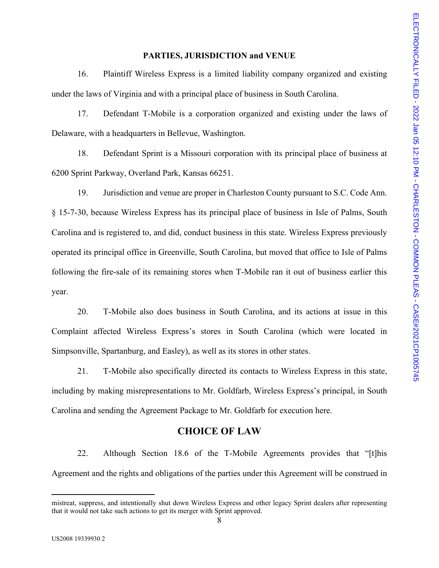#### **PARTIES, JURISDICTION and VENUE**

16. Plaintiff Wireless Express is a limited liability company organized and existing under the laws of Virginia and with a principal place of business in South Carolina.

17. Defendant T-Mobile is a corporation organized and existing under the laws of Delaware, with a headquarters in Bellevue, Washington.

18. Defendant Sprint is a Missouri corporation with its principal place of business at 6200 Sprint Parkway, Overland Park, Kansas 66251.

19. Jurisdiction and venue are proper in Charleston County pursuant to S.C. Code Ann. § 15-7-30, because Wireless Express has its principal place of business in Isle of Palms, South Carolina and is registered to, and did, conduct business in this state. Wireless Express previously operated its principal office in Greenville, South Carolina, but moved that office to Isle of Palms following the fire-sale of its remaining stores when T-Mobile ran it out of business earlier this year.

20. T-Mobile also does business in South Carolina, and its actions at issue in this Complaint affected Wireless Express's stores in South Carolina (which were located in Simpsonville, Spartanburg, and Easley), as well as its stores in other states.

21. T-Mobile also specifically directed its contacts to Wireless Express in this state, including by making misrepresentations to Mr. Goldfarb, Wireless Express's principal, in South Carolina and sending the Agreement Package to Mr. Goldfarb for execution here.

### **CHOICE OF LAW**

22. Although Section 18.6 of the T-Mobile Agreements provides that "[t]his Agreement and the rights and obligations of the parties under this Agreement will be construed in

<sup>8</sup>  mistreat, suppress, and intentionally shut down Wireless Express and other legacy Sprint dealers after representing that it would not take such actions to get its merger with Sprint approved.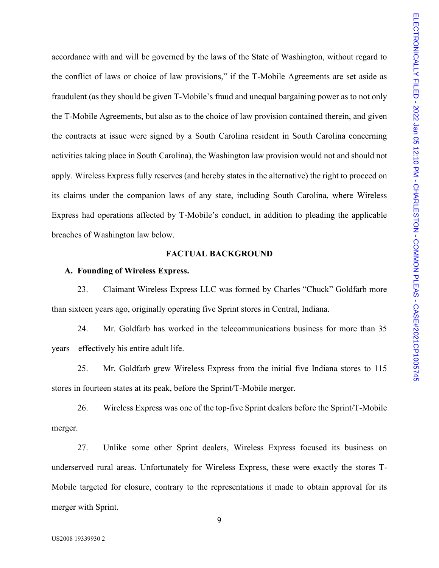accordance with and will be governed by the laws of the State of Washington, without regard to the conflict of laws or choice of law provisions," if the T-Mobile Agreements are set aside as fraudulent (as they should be given T-Mobile's fraud and unequal bargaining power as to not only the T-Mobile Agreements, but also as to the choice of law provision contained therein, and given the contracts at issue were signed by a South Carolina resident in South Carolina concerning activities taking place in South Carolina), the Washington law provision would not and should not apply. Wireless Express fully reserves (and hereby states in the alternative) the right to proceed on its claims under the companion laws of any state, including South Carolina, where Wireless Express had operations affected by T-Mobile's conduct, in addition to pleading the applicable breaches of Washington law below.

#### **FACTUAL BACKGROUND**

#### **A. Founding of Wireless Express.**

23. Claimant Wireless Express LLC was formed by Charles "Chuck" Goldfarb more than sixteen years ago, originally operating five Sprint stores in Central, Indiana.

24. Mr. Goldfarb has worked in the telecommunications business for more than 35 years – effectively his entire adult life.

25. Mr. Goldfarb grew Wireless Express from the initial five Indiana stores to 115 stores in fourteen states at its peak, before the Sprint/T-Mobile merger.

26. Wireless Express was one of the top-five Sprint dealers before the Sprint/T-Mobile merger.

27. Unlike some other Sprint dealers, Wireless Express focused its business on underserved rural areas. Unfortunately for Wireless Express, these were exactly the stores T-Mobile targeted for closure, contrary to the representations it made to obtain approval for its merger with Sprint.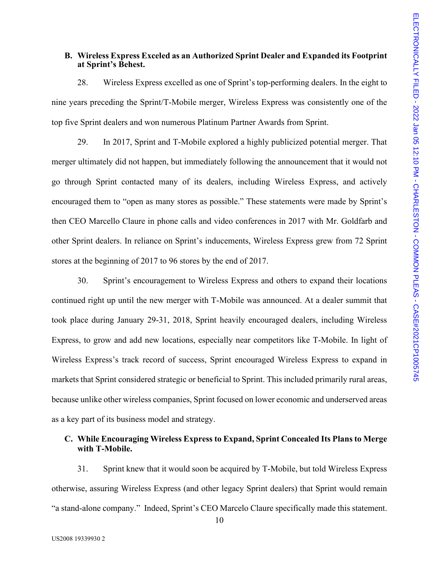#### **B. Wireless Express Exceled as an Authorized Sprint Dealer and Expanded its Footprint at Sprint's Behest.**

28. Wireless Express excelled as one of Sprint's top-performing dealers. In the eight to nine years preceding the Sprint/T-Mobile merger, Wireless Express was consistently one of the top five Sprint dealers and won numerous Platinum Partner Awards from Sprint.

29. In 2017, Sprint and T-Mobile explored a highly publicized potential merger. That merger ultimately did not happen, but immediately following the announcement that it would not go through Sprint contacted many of its dealers, including Wireless Express, and actively encouraged them to "open as many stores as possible." These statements were made by Sprint's then CEO Marcello Claure in phone calls and video conferences in 2017 with Mr. Goldfarb and other Sprint dealers. In reliance on Sprint's inducements, Wireless Express grew from 72 Sprint stores at the beginning of 2017 to 96 stores by the end of 2017.

30. Sprint's encouragement to Wireless Express and others to expand their locations continued right up until the new merger with T-Mobile was announced. At a dealer summit that took place during January 29-31, 2018, Sprint heavily encouraged dealers, including Wireless Express, to grow and add new locations, especially near competitors like T-Mobile. In light of Wireless Express's track record of success, Sprint encouraged Wireless Express to expand in markets that Sprint considered strategic or beneficial to Sprint. This included primarily rural areas, because unlike other wireless companies, Sprint focused on lower economic and underserved areas as a key part of its business model and strategy.

### **C. While Encouraging Wireless Express to Expand, Sprint Concealed Its Plans to Merge with T-Mobile.**

31. Sprint knew that it would soon be acquired by T-Mobile, but told Wireless Express otherwise, assuring Wireless Express (and other legacy Sprint dealers) that Sprint would remain "a stand-alone company." Indeed, Sprint's CEO Marcelo Claure specifically made this statement.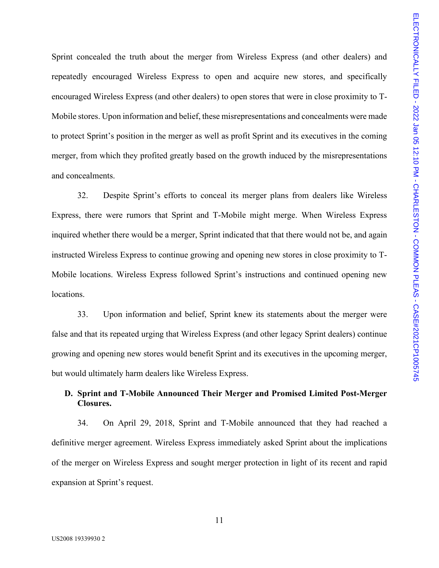Sprint concealed the truth about the merger from Wireless Express (and other dealers) and repeatedly encouraged Wireless Express to open and acquire new stores, and specifically encouraged Wireless Express (and other dealers) to open stores that were in close proximity to T-Mobile stores. Upon information and belief, these misrepresentations and concealments were made to protect Sprint's position in the merger as well as profit Sprint and its executives in the coming merger, from which they profited greatly based on the growth induced by the misrepresentations and concealments.

32. Despite Sprint's efforts to conceal its merger plans from dealers like Wireless Express, there were rumors that Sprint and T-Mobile might merge. When Wireless Express inquired whether there would be a merger, Sprint indicated that that there would not be, and again instructed Wireless Express to continue growing and opening new stores in close proximity to T-Mobile locations. Wireless Express followed Sprint's instructions and continued opening new locations.

33. Upon information and belief, Sprint knew its statements about the merger were false and that its repeated urging that Wireless Express (and other legacy Sprint dealers) continue growing and opening new stores would benefit Sprint and its executives in the upcoming merger, but would ultimately harm dealers like Wireless Express.

### **D. Sprint and T-Mobile Announced Their Merger and Promised Limited Post-Merger Closures.**

34. On April 29, 2018, Sprint and T-Mobile announced that they had reached a definitive merger agreement. Wireless Express immediately asked Sprint about the implications of the merger on Wireless Express and sought merger protection in light of its recent and rapid expansion at Sprint's request.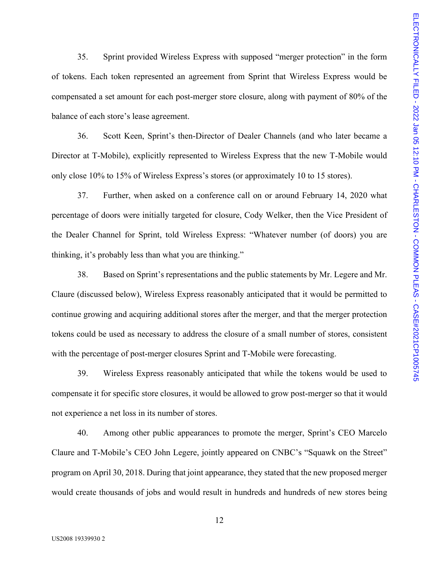35. Sprint provided Wireless Express with supposed "merger protection" in the form of tokens. Each token represented an agreement from Sprint that Wireless Express would be compensated a set amount for each post-merger store closure, along with payment of 80% of the balance of each store's lease agreement.

36. Scott Keen, Sprint's then-Director of Dealer Channels (and who later became a Director at T-Mobile), explicitly represented to Wireless Express that the new T-Mobile would only close 10% to 15% of Wireless Express's stores (or approximately 10 to 15 stores).

37. Further, when asked on a conference call on or around February 14, 2020 what percentage of doors were initially targeted for closure, Cody Welker, then the Vice President of the Dealer Channel for Sprint, told Wireless Express: "Whatever number (of doors) you are thinking, it's probably less than what you are thinking."

38. Based on Sprint's representations and the public statements by Mr. Legere and Mr. Claure (discussed below), Wireless Express reasonably anticipated that it would be permitted to continue growing and acquiring additional stores after the merger, and that the merger protection tokens could be used as necessary to address the closure of a small number of stores, consistent with the percentage of post-merger closures Sprint and T-Mobile were forecasting.

39. Wireless Express reasonably anticipated that while the tokens would be used to compensate it for specific store closures, it would be allowed to grow post-merger so that it would not experience a net loss in its number of stores.

40. Among other public appearances to promote the merger, Sprint's CEO Marcelo Claure and T-Mobile's CEO John Legere, jointly appeared on CNBC's "Squawk on the Street" program on April 30, 2018. During that joint appearance, they stated that the new proposed merger would create thousands of jobs and would result in hundreds and hundreds of new stores being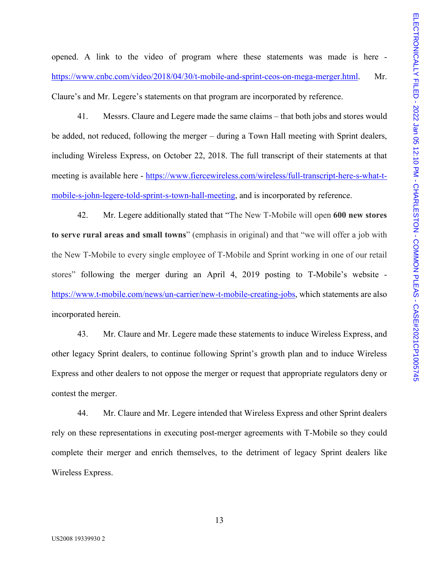opened. A link to the video of program where these statements was made is here [https://www.cnbc.com/video/2018/04/30/t-mobile-and-sprint-ceos-on-mega-merger.html.](https://www.cnbc.com/video/2018/04/30/t-mobile-and-sprint-ceos-on-mega-merger.html) Mr. Claure's and Mr. Legere's statements on that program are incorporated by reference.

41. Messrs. Claure and Legere made the same claims – that both jobs and stores would be added, not reduced, following the merger – during a Town Hall meeting with Sprint dealers, including Wireless Express, on October 22, 2018. The full transcript of their statements at that meeting is available here - [https://www.fiercewireless.com/wireless/full-transcript-here-s-what-t](https://www.fiercewireless.com/wireless/full-transcript-here-s-what-t-mobile-s-john-legere-told-sprint-s-town-hall-meeting)[mobile-s-john-legere-told-sprint-s-town-hall-meeting,](https://www.fiercewireless.com/wireless/full-transcript-here-s-what-t-mobile-s-john-legere-told-sprint-s-town-hall-meeting) and is incorporated by reference.

42. Mr. Legere additionally stated that "The New T-Mobile will open **600 new stores to serve rural areas and small towns**" (emphasis in original) and that "we will offer a job with the New T-Mobile to every single employee of T-Mobile and Sprint working in one of our retail stores" following the merger during an April 4, 2019 posting to T-Mobile's website [https://www.t-mobile.com/news/un-carrier/new-t-mobile-creating-jobs,](https://www.t-mobile.com/news/un-carrier/new-t-mobile-creating-jobs) which statements are also incorporated herein.

43. Mr. Claure and Mr. Legere made these statements to induce Wireless Express, and other legacy Sprint dealers, to continue following Sprint's growth plan and to induce Wireless Express and other dealers to not oppose the merger or request that appropriate regulators deny or contest the merger.

44. Mr. Claure and Mr. Legere intended that Wireless Express and other Sprint dealers rely on these representations in executing post-merger agreements with T-Mobile so they could complete their merger and enrich themselves, to the detriment of legacy Sprint dealers like Wireless Express.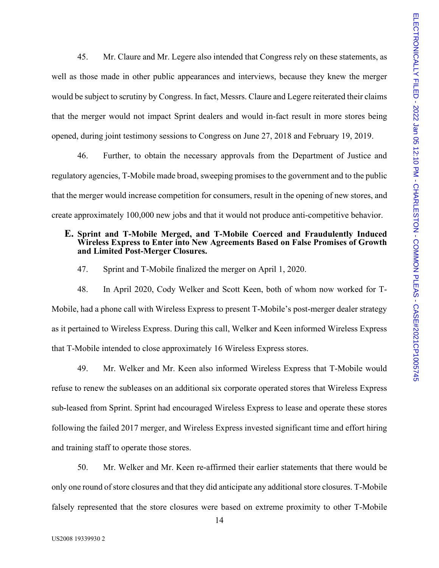45. Mr. Claure and Mr. Legere also intended that Congress rely on these statements, as well as those made in other public appearances and interviews, because they knew the merger would be subject to scrutiny by Congress. In fact, Messrs. Claure and Legere reiterated their claims that the merger would not impact Sprint dealers and would in-fact result in more stores being opened, during joint testimony sessions to Congress on June 27, 2018 and February 19, 2019.

46. Further, to obtain the necessary approvals from the Department of Justice and regulatory agencies, T-Mobile made broad, sweeping promises to the government and to the public that the merger would increase competition for consumers, result in the opening of new stores, and create approximately 100,000 new jobs and that it would not produce anti-competitive behavior.

#### **E. Sprint and T-Mobile Merged, and T-Mobile Coerced and Fraudulently Induced Wireless Express to Enter into New Agreements Based on False Promises of Growth and Limited Post-Merger Closures.**

47. Sprint and T-Mobile finalized the merger on April 1, 2020.

48. In April 2020, Cody Welker and Scott Keen, both of whom now worked for T-Mobile, had a phone call with Wireless Express to present T-Mobile's post-merger dealer strategy as it pertained to Wireless Express. During this call, Welker and Keen informed Wireless Express that T-Mobile intended to close approximately 16 Wireless Express stores.

49. Mr. Welker and Mr. Keen also informed Wireless Express that T-Mobile would refuse to renew the subleases on an additional six corporate operated stores that Wireless Express sub-leased from Sprint. Sprint had encouraged Wireless Express to lease and operate these stores following the failed 2017 merger, and Wireless Express invested significant time and effort hiring and training staff to operate those stores.

50. Mr. Welker and Mr. Keen re-affirmed their earlier statements that there would be only one round of store closures and that they did anticipate any additional store closures. T-Mobile falsely represented that the store closures were based on extreme proximity to other T-Mobile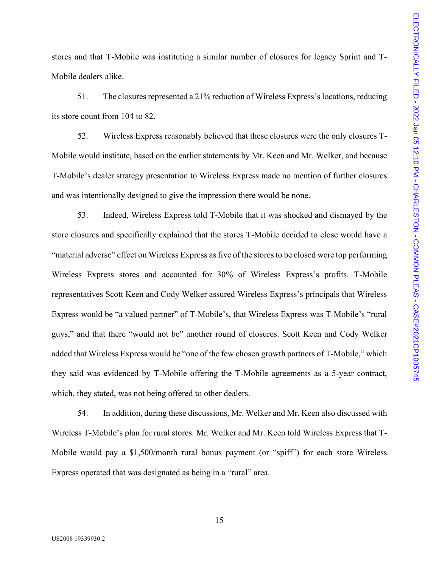stores and that T-Mobile was instituting a similar number of closures for legacy Sprint and T-Mobile dealers alike.

51. The closures represented a 21% reduction of Wireless Express's locations, reducing its store count from 104 to 82.

52. Wireless Express reasonably believed that these closures were the only closures T-Mobile would institute, based on the earlier statements by Mr. Keen and Mr. Welker, and because T-Mobile's dealer strategy presentation to Wireless Express made no mention of further closures and was intentionally designed to give the impression there would be none.

53. Indeed, Wireless Express told T-Mobile that it was shocked and dismayed by the store closures and specifically explained that the stores T-Mobile decided to close would have a "material adverse" effect on Wireless Express as five of the stores to be closed were top performing Wireless Express stores and accounted for 30% of Wireless Express's profits. T-Mobile representatives Scott Keen and Cody Welker assured Wireless Express's principals that Wireless Express would be "a valued partner" of T-Mobile's, that Wireless Express was T-Mobile's "rural guys," and that there "would not be" another round of closures. Scott Keen and Cody Welker added that Wireless Express would be "one of the few chosen growth partners of T-Mobile," which they said was evidenced by T-Mobile offering the T-Mobile agreements as a 5-year contract, which, they stated, was not being offered to other dealers.

54. In addition, during these discussions, Mr. Welker and Mr. Keen also discussed with Wireless T-Mobile's plan for rural stores. Mr. Welker and Mr. Keen told Wireless Express that T-Mobile would pay a \$1,500/month rural bonus payment (or "spiff") for each store Wireless Express operated that was designated as being in a "rural" area.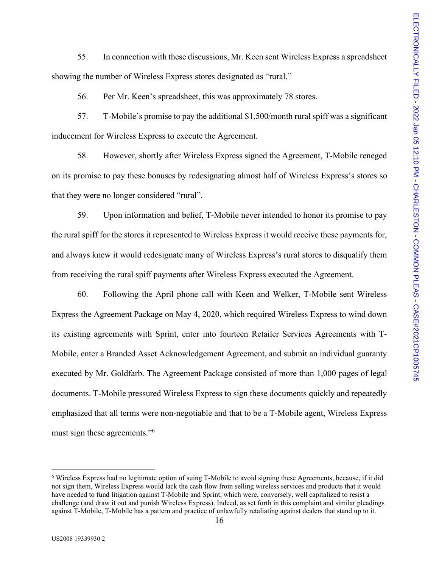55. In connection with these discussions, Mr. Keen sent Wireless Express a spreadsheet showing the number of Wireless Express stores designated as "rural."

56. Per Mr. Keen's spreadsheet, this was approximately 78 stores.

57. T-Mobile's promise to pay the additional \$1,500/month rural spiff was a significant inducement for Wireless Express to execute the Agreement.

58. However, shortly after Wireless Express signed the Agreement, T-Mobile reneged on its promise to pay these bonuses by redesignating almost half of Wireless Express's stores so that they were no longer considered "rural".

59. Upon information and belief, T-Mobile never intended to honor its promise to pay the rural spiff for the stores it represented to Wireless Express it would receive these payments for, and always knew it would redesignate many of Wireless Express's rural stores to disqualify them from receiving the rural spiff payments after Wireless Express executed the Agreement.

60. Following the April phone call with Keen and Welker, T-Mobile sent Wireless Express the Agreement Package on May 4, 2020, which required Wireless Express to wind down its existing agreements with Sprint, enter into fourteen Retailer Services Agreements with T-Mobile, enter a Branded Asset Acknowledgement Agreement, and submit an individual guaranty executed by Mr. Goldfarb. The Agreement Package consisted of more than 1,000 pages of legal documents. T-Mobile pressured Wireless Express to sign these documents quickly and repeatedly emphasized that all terms were non-negotiable and that to be a T-Mobile agent, Wireless Express must sign these agreements."<sup>[6](#page-15-0)</sup>

<span id="page-15-0"></span><sup>&</sup>lt;sup>6</sup> Wireless Express had no legitimate option of suing T-Mobile to avoid signing these Agreements, because, if it did not sign them, Wireless Express would lack the cash flow from selling wireless services and products that it would have needed to fund litigation against T-Mobile and Sprint, which were, conversely, well capitalized to resist a challenge (and draw it out and punish Wireless Express). Indeed, as set forth in this complaint and similar pleadings against T-Mobile, T-Mobile has a pattern and practice of unlawfully retaliating against dealers that stand up to it.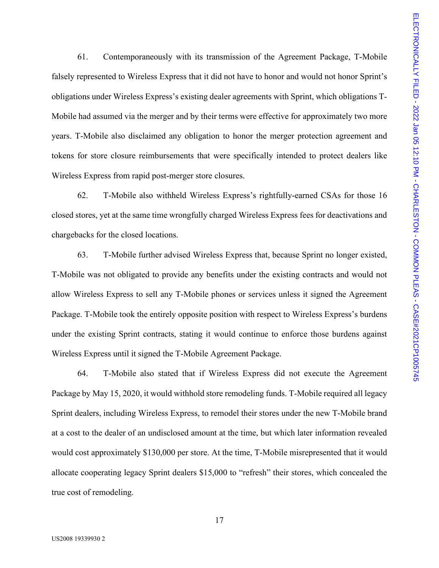61. Contemporaneously with its transmission of the Agreement Package, T-Mobile falsely represented to Wireless Express that it did not have to honor and would not honor Sprint's obligations under Wireless Express's existing dealer agreements with Sprint, which obligations T-Mobile had assumed via the merger and by their terms were effective for approximately two more years. T-Mobile also disclaimed any obligation to honor the merger protection agreement and tokens for store closure reimbursements that were specifically intended to protect dealers like Wireless Express from rapid post-merger store closures.

62. T-Mobile also withheld Wireless Express's rightfully-earned CSAs for those 16 closed stores, yet at the same time wrongfully charged Wireless Express fees for deactivations and chargebacks for the closed locations.

63. T-Mobile further advised Wireless Express that, because Sprint no longer existed, T-Mobile was not obligated to provide any benefits under the existing contracts and would not allow Wireless Express to sell any T-Mobile phones or services unless it signed the Agreement Package. T-Mobile took the entirely opposite position with respect to Wireless Express's burdens under the existing Sprint contracts, stating it would continue to enforce those burdens against Wireless Express until it signed the T-Mobile Agreement Package.

64. T-Mobile also stated that if Wireless Express did not execute the Agreement Package by May 15, 2020, it would withhold store remodeling funds. T-Mobile required all legacy Sprint dealers, including Wireless Express, to remodel their stores under the new T-Mobile brand at a cost to the dealer of an undisclosed amount at the time, but which later information revealed would cost approximately \$130,000 per store. At the time, T-Mobile misrepresented that it would allocate cooperating legacy Sprint dealers \$15,000 to "refresh" their stores, which concealed the true cost of remodeling.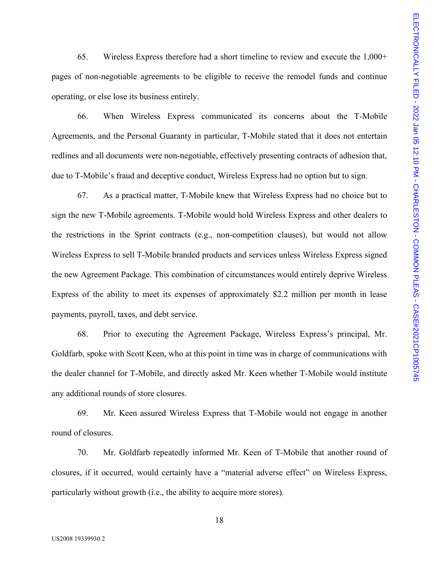65. Wireless Express therefore had a short timeline to review and execute the 1,000+ pages of non-negotiable agreements to be eligible to receive the remodel funds and continue operating, or else lose its business entirely.

66. When Wireless Express communicated its concerns about the T-Mobile Agreements, and the Personal Guaranty in particular, T-Mobile stated that it does not entertain redlines and all documents were non-negotiable, effectively presenting contracts of adhesion that, due to T-Mobile's fraud and deceptive conduct, Wireless Express had no option but to sign.

67. As a practical matter, T-Mobile knew that Wireless Express had no choice but to sign the new T-Mobile agreements. T-Mobile would hold Wireless Express and other dealers to the restrictions in the Sprint contracts (e.g., non-competition clauses), but would not allow Wireless Express to sell T-Mobile branded products and services unless Wireless Express signed the new Agreement Package. This combination of circumstances would entirely deprive Wireless Express of the ability to meet its expenses of approximately \$2.2 million per month in lease payments, payroll, taxes, and debt service.

68. Prior to executing the Agreement Package, Wireless Express's principal, Mr. Goldfarb, spoke with Scott Keen, who at this point in time was in charge of communications with the dealer channel for T-Mobile, and directly asked Mr. Keen whether T-Mobile would institute any additional rounds of store closures.

69. Mr. Keen assured Wireless Express that T-Mobile would not engage in another round of closures.

70. Mr. Goldfarb repeatedly informed Mr. Keen of T-Mobile that another round of closures, if it occurred, would certainly have a "material adverse effect" on Wireless Express, particularly without growth (i.e., the ability to acquire more stores).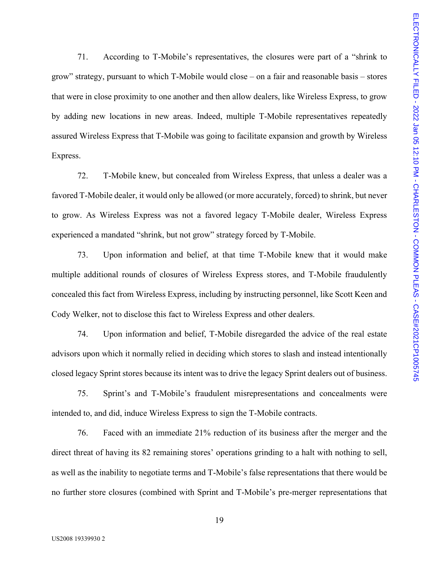71. According to T-Mobile's representatives, the closures were part of a "shrink to grow" strategy, pursuant to which T-Mobile would close – on a fair and reasonable basis – stores that were in close proximity to one another and then allow dealers, like Wireless Express, to grow by adding new locations in new areas. Indeed, multiple T-Mobile representatives repeatedly assured Wireless Express that T-Mobile was going to facilitate expansion and growth by Wireless Express.

72. T-Mobile knew, but concealed from Wireless Express, that unless a dealer was a favored T-Mobile dealer, it would only be allowed (or more accurately, forced) to shrink, but never to grow. As Wireless Express was not a favored legacy T-Mobile dealer, Wireless Express experienced a mandated "shrink, but not grow" strategy forced by T-Mobile.

73. Upon information and belief, at that time T-Mobile knew that it would make multiple additional rounds of closures of Wireless Express stores, and T-Mobile fraudulently concealed this fact from Wireless Express, including by instructing personnel, like Scott Keen and Cody Welker, not to disclose this fact to Wireless Express and other dealers.

74. Upon information and belief, T-Mobile disregarded the advice of the real estate advisors upon which it normally relied in deciding which stores to slash and instead intentionally closed legacy Sprint stores because its intent was to drive the legacy Sprint dealers out of business.

75. Sprint's and T-Mobile's fraudulent misrepresentations and concealments were intended to, and did, induce Wireless Express to sign the T-Mobile contracts.

76. Faced with an immediate 21% reduction of its business after the merger and the direct threat of having its 82 remaining stores' operations grinding to a halt with nothing to sell, as well as the inability to negotiate terms and T-Mobile's false representations that there would be no further store closures (combined with Sprint and T-Mobile's pre-merger representations that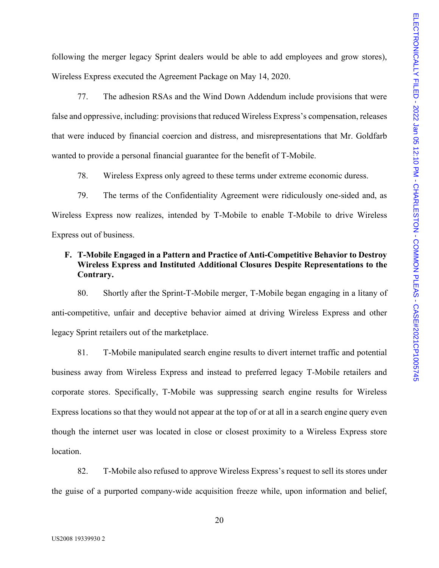following the merger legacy Sprint dealers would be able to add employees and grow stores), Wireless Express executed the Agreement Package on May 14, 2020.

77. The adhesion RSAs and the Wind Down Addendum include provisions that were false and oppressive, including: provisions that reduced Wireless Express's compensation, releases that were induced by financial coercion and distress, and misrepresentations that Mr. Goldfarb wanted to provide a personal financial guarantee for the benefit of T-Mobile.

78. Wireless Express only agreed to these terms under extreme economic duress.

79. The terms of the Confidentiality Agreement were ridiculously one-sided and, as Wireless Express now realizes, intended by T-Mobile to enable T-Mobile to drive Wireless Express out of business.

#### **F. T-Mobile Engaged in a Pattern and Practice of Anti-Competitive Behavior to Destroy Wireless Express and Instituted Additional Closures Despite Representations to the Contrary.**

80. Shortly after the Sprint-T-Mobile merger, T-Mobile began engaging in a litany of anti-competitive, unfair and deceptive behavior aimed at driving Wireless Express and other legacy Sprint retailers out of the marketplace.

81. T-Mobile manipulated search engine results to divert internet traffic and potential business away from Wireless Express and instead to preferred legacy T-Mobile retailers and corporate stores. Specifically, T-Mobile was suppressing search engine results for Wireless Express locations so that they would not appear at the top of or at all in a search engine query even though the internet user was located in close or closest proximity to a Wireless Express store location.

82. T-Mobile also refused to approve Wireless Express's request to sell its stores under the guise of a purported company-wide acquisition freeze while, upon information and belief,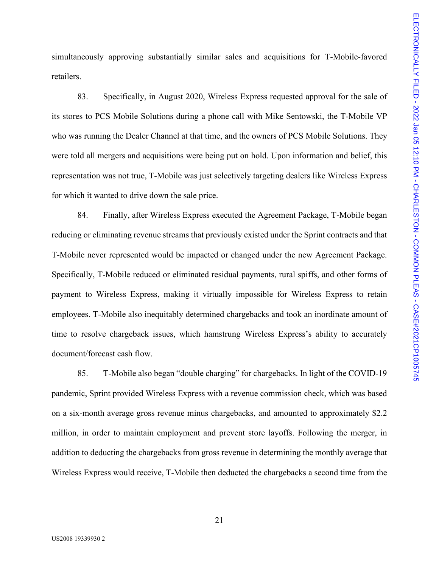simultaneously approving substantially similar sales and acquisitions for T-Mobile-favored retailers.

83. Specifically, in August 2020, Wireless Express requested approval for the sale of its stores to PCS Mobile Solutions during a phone call with Mike Sentowski, the T-Mobile VP who was running the Dealer Channel at that time, and the owners of PCS Mobile Solutions. They were told all mergers and acquisitions were being put on hold. Upon information and belief, this representation was not true, T-Mobile was just selectively targeting dealers like Wireless Express for which it wanted to drive down the sale price.

84. Finally, after Wireless Express executed the Agreement Package, T-Mobile began reducing or eliminating revenue streams that previously existed under the Sprint contracts and that T-Mobile never represented would be impacted or changed under the new Agreement Package. Specifically, T-Mobile reduced or eliminated residual payments, rural spiffs, and other forms of payment to Wireless Express, making it virtually impossible for Wireless Express to retain employees. T-Mobile also inequitably determined chargebacks and took an inordinate amount of time to resolve chargeback issues, which hamstrung Wireless Express's ability to accurately document/forecast cash flow.

85. T-Mobile also began "double charging" for chargebacks. In light of the COVID-19 pandemic, Sprint provided Wireless Express with a revenue commission check, which was based on a six-month average gross revenue minus chargebacks, and amounted to approximately \$2.2 million, in order to maintain employment and prevent store layoffs. Following the merger, in addition to deducting the chargebacks from gross revenue in determining the monthly average that Wireless Express would receive, T-Mobile then deducted the chargebacks a second time from the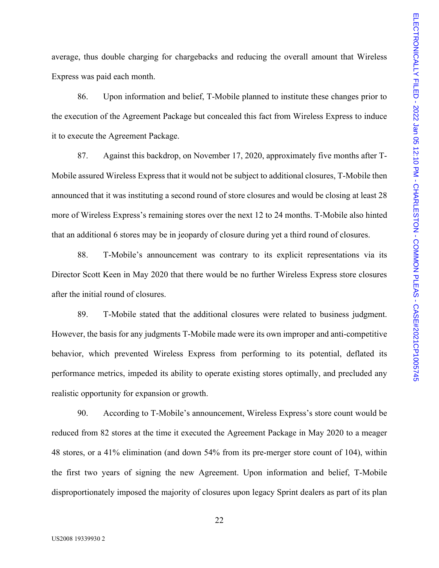average, thus double charging for chargebacks and reducing the overall amount that Wireless Express was paid each month.

86. Upon information and belief, T-Mobile planned to institute these changes prior to the execution of the Agreement Package but concealed this fact from Wireless Express to induce it to execute the Agreement Package.

87. Against this backdrop, on November 17, 2020, approximately five months after T-Mobile assured Wireless Express that it would not be subject to additional closures, T-Mobile then announced that it was instituting a second round of store closures and would be closing at least 28 more of Wireless Express's remaining stores over the next 12 to 24 months. T-Mobile also hinted that an additional 6 stores may be in jeopardy of closure during yet a third round of closures.

88. T-Mobile's announcement was contrary to its explicit representations via its Director Scott Keen in May 2020 that there would be no further Wireless Express store closures after the initial round of closures.

89. T-Mobile stated that the additional closures were related to business judgment. However, the basis for any judgments T-Mobile made were its own improper and anti-competitive behavior, which prevented Wireless Express from performing to its potential, deflated its performance metrics, impeded its ability to operate existing stores optimally, and precluded any realistic opportunity for expansion or growth.

90. According to T-Mobile's announcement, Wireless Express's store count would be reduced from 82 stores at the time it executed the Agreement Package in May 2020 to a meager 48 stores, or a 41% elimination (and down 54% from its pre-merger store count of 104), within the first two years of signing the new Agreement. Upon information and belief, T-Mobile disproportionately imposed the majority of closures upon legacy Sprint dealers as part of its plan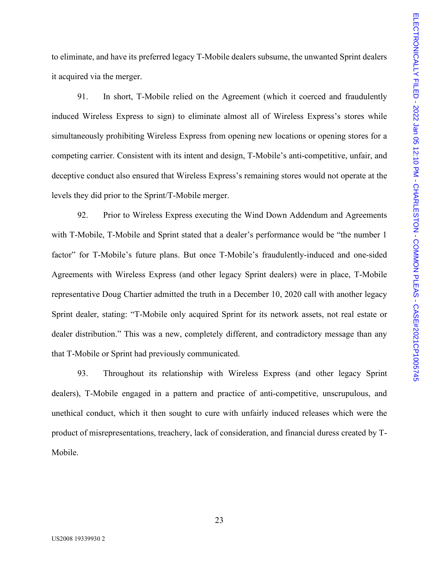to eliminate, and have its preferred legacy T-Mobile dealers subsume, the unwanted Sprint dealers it acquired via the merger.

91. In short, T-Mobile relied on the Agreement (which it coerced and fraudulently induced Wireless Express to sign) to eliminate almost all of Wireless Express's stores while simultaneously prohibiting Wireless Express from opening new locations or opening stores for a competing carrier. Consistent with its intent and design, T-Mobile's anti-competitive, unfair, and deceptive conduct also ensured that Wireless Express's remaining stores would not operate at the levels they did prior to the Sprint/T-Mobile merger.

92. Prior to Wireless Express executing the Wind Down Addendum and Agreements with T-Mobile, T-Mobile and Sprint stated that a dealer's performance would be "the number 1 factor" for T-Mobile's future plans. But once T-Mobile's fraudulently-induced and one-sided Agreements with Wireless Express (and other legacy Sprint dealers) were in place, T-Mobile representative Doug Chartier admitted the truth in a December 10, 2020 call with another legacy Sprint dealer, stating: "T-Mobile only acquired Sprint for its network assets, not real estate or dealer distribution." This was a new, completely different, and contradictory message than any that T-Mobile or Sprint had previously communicated.

93. Throughout its relationship with Wireless Express (and other legacy Sprint dealers), T-Mobile engaged in a pattern and practice of anti-competitive, unscrupulous, and unethical conduct, which it then sought to cure with unfairly induced releases which were the product of misrepresentations, treachery, lack of consideration, and financial duress created by T-Mobile.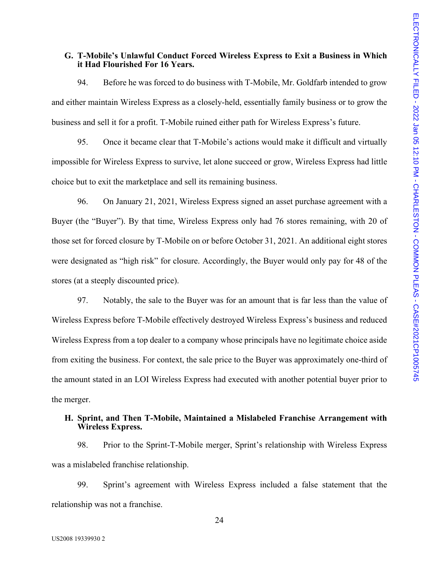#### **G. T-Mobile's Unlawful Conduct Forced Wireless Express to Exit a Business in Which it Had Flourished For 16 Years.**

94. Before he was forced to do business with T-Mobile, Mr. Goldfarb intended to grow and either maintain Wireless Express as a closely-held, essentially family business or to grow the business and sell it for a profit. T-Mobile ruined either path for Wireless Express's future.

95. Once it became clear that T-Mobile's actions would make it difficult and virtually impossible for Wireless Express to survive, let alone succeed or grow, Wireless Express had little choice but to exit the marketplace and sell its remaining business.

96. On January 21, 2021, Wireless Express signed an asset purchase agreement with a Buyer (the "Buyer"). By that time, Wireless Express only had 76 stores remaining, with 20 of those set for forced closure by T-Mobile on or before October 31, 2021. An additional eight stores were designated as "high risk" for closure. Accordingly, the Buyer would only pay for 48 of the stores (at a steeply discounted price).

97. Notably, the sale to the Buyer was for an amount that is far less than the value of Wireless Express before T-Mobile effectively destroyed Wireless Express's business and reduced Wireless Express from a top dealer to a company whose principals have no legitimate choice aside from exiting the business. For context, the sale price to the Buyer was approximately one-third of the amount stated in an LOI Wireless Express had executed with another potential buyer prior to the merger.

#### **H. Sprint, and Then T-Mobile, Maintained a Mislabeled Franchise Arrangement with Wireless Express.**

98. Prior to the Sprint-T-Mobile merger, Sprint's relationship with Wireless Express was a mislabeled franchise relationship.

99. Sprint's agreement with Wireless Express included a false statement that the relationship was not a franchise.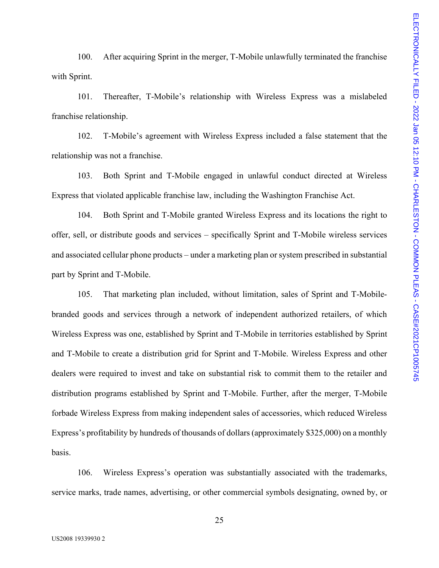100. After acquiring Sprint in the merger, T-Mobile unlawfully terminated the franchise with Sprint.

101. Thereafter, T-Mobile's relationship with Wireless Express was a mislabeled franchise relationship.

102. T-Mobile's agreement with Wireless Express included a false statement that the relationship was not a franchise.

103. Both Sprint and T-Mobile engaged in unlawful conduct directed at Wireless Express that violated applicable franchise law, including the Washington Franchise Act.

104. Both Sprint and T-Mobile granted Wireless Express and its locations the right to offer, sell, or distribute goods and services – specifically Sprint and T-Mobile wireless services and associated cellular phone products – under a marketing plan or system prescribed in substantial part by Sprint and T-Mobile.

105. That marketing plan included, without limitation, sales of Sprint and T-Mobilebranded goods and services through a network of independent authorized retailers, of which Wireless Express was one, established by Sprint and T-Mobile in territories established by Sprint and T-Mobile to create a distribution grid for Sprint and T-Mobile. Wireless Express and other dealers were required to invest and take on substantial risk to commit them to the retailer and distribution programs established by Sprint and T-Mobile. Further, after the merger, T-Mobile forbade Wireless Express from making independent sales of accessories, which reduced Wireless Express's profitability by hundreds of thousands of dollars (approximately \$325,000) on a monthly basis.

106. Wireless Express's operation was substantially associated with the trademarks, service marks, trade names, advertising, or other commercial symbols designating, owned by, or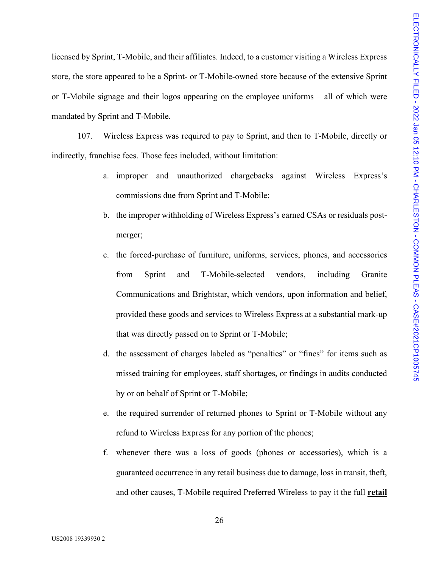licensed by Sprint, T-Mobile, and their affiliates. Indeed, to a customer visiting a Wireless Express store, the store appeared to be a Sprint- or T-Mobile-owned store because of the extensive Sprint or T-Mobile signage and their logos appearing on the employee uniforms – all of which were mandated by Sprint and T-Mobile.

107. Wireless Express was required to pay to Sprint, and then to T-Mobile, directly or indirectly, franchise fees. Those fees included, without limitation:

- a. improper and unauthorized chargebacks against Wireless Express's commissions due from Sprint and T-Mobile;
- b. the improper withholding of Wireless Express's earned CSAs or residuals postmerger;
- c. the forced-purchase of furniture, uniforms, services, phones, and accessories from Sprint and T-Mobile-selected vendors, including Granite Communications and Brightstar, which vendors, upon information and belief, provided these goods and services to Wireless Express at a substantial mark-up that was directly passed on to Sprint or T-Mobile;
- d. the assessment of charges labeled as "penalties" or "fines" for items such as missed training for employees, staff shortages, or findings in audits conducted by or on behalf of Sprint or T-Mobile;
- e. the required surrender of returned phones to Sprint or T-Mobile without any refund to Wireless Express for any portion of the phones;
- f. whenever there was a loss of goods (phones or accessories), which is a guaranteed occurrence in any retail business due to damage, loss in transit, theft, and other causes, T-Mobile required Preferred Wireless to pay it the full **retail**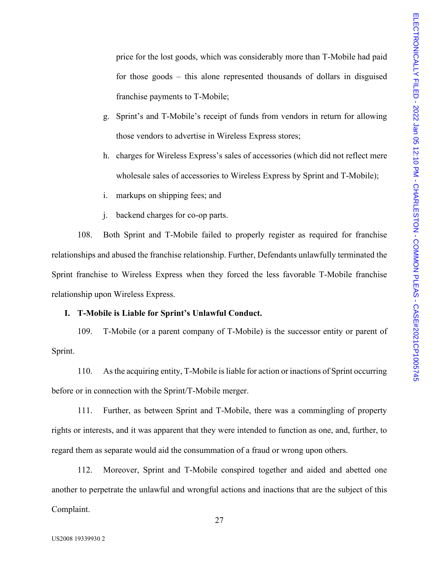price for the lost goods, which was considerably more than T-Mobile had paid for those goods – this alone represented thousands of dollars in disguised franchise payments to T-Mobile;

- g. Sprint's and T-Mobile's receipt of funds from vendors in return for allowing those vendors to advertise in Wireless Express stores;
- h. charges for Wireless Express's sales of accessories (which did not reflect mere wholesale sales of accessories to Wireless Express by Sprint and T-Mobile);
- i. markups on shipping fees; and
- j. backend charges for co-op parts.

108. Both Sprint and T-Mobile failed to properly register as required for franchise relationships and abused the franchise relationship. Further, Defendants unlawfully terminated the Sprint franchise to Wireless Express when they forced the less favorable T-Mobile franchise relationship upon Wireless Express.

#### **I. T-Mobile is Liable for Sprint's Unlawful Conduct.**

109. T-Mobile (or a parent company of T-Mobile) is the successor entity or parent of Sprint.

110. As the acquiring entity, T-Mobile is liable for action or inactions of Sprint occurring before or in connection with the Sprint/T-Mobile merger.

111. Further, as between Sprint and T-Mobile, there was a commingling of property rights or interests, and it was apparent that they were intended to function as one, and, further, to regard them as separate would aid the consummation of a fraud or wrong upon others.

112. Moreover, Sprint and T-Mobile conspired together and aided and abetted one another to perpetrate the unlawful and wrongful actions and inactions that are the subject of this Complaint.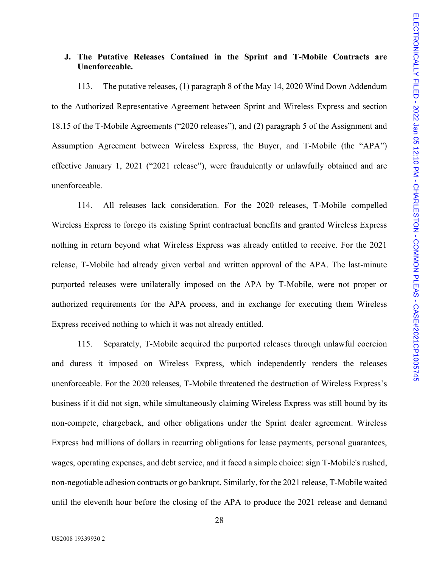#### **J. The Putative Releases Contained in the Sprint and T-Mobile Contracts are Unenforceable.**

113. The putative releases, (1) paragraph 8 of the May 14, 2020 Wind Down Addendum to the Authorized Representative Agreement between Sprint and Wireless Express and section 18.15 of the T-Mobile Agreements ("2020 releases"), and (2) paragraph 5 of the Assignment and Assumption Agreement between Wireless Express, the Buyer, and T-Mobile (the "APA") effective January 1, 2021 ("2021 release"), were fraudulently or unlawfully obtained and are unenforceable.

114. All releases lack consideration. For the 2020 releases, T-Mobile compelled Wireless Express to forego its existing Sprint contractual benefits and granted Wireless Express nothing in return beyond what Wireless Express was already entitled to receive. For the 2021 release, T-Mobile had already given verbal and written approval of the APA. The last-minute purported releases were unilaterally imposed on the APA by T-Mobile, were not proper or authorized requirements for the APA process, and in exchange for executing them Wireless Express received nothing to which it was not already entitled.

115. Separately, T-Mobile acquired the purported releases through unlawful coercion and duress it imposed on Wireless Express, which independently renders the releases unenforceable. For the 2020 releases, T-Mobile threatened the destruction of Wireless Express's business if it did not sign, while simultaneously claiming Wireless Express was still bound by its non-compete, chargeback, and other obligations under the Sprint dealer agreement. Wireless Express had millions of dollars in recurring obligations for lease payments, personal guarantees, wages, operating expenses, and debt service, and it faced a simple choice: sign T-Mobile's rushed, non-negotiable adhesion contracts or go bankrupt. Similarly, for the 2021 release, T-Mobile waited until the eleventh hour before the closing of the APA to produce the 2021 release and demand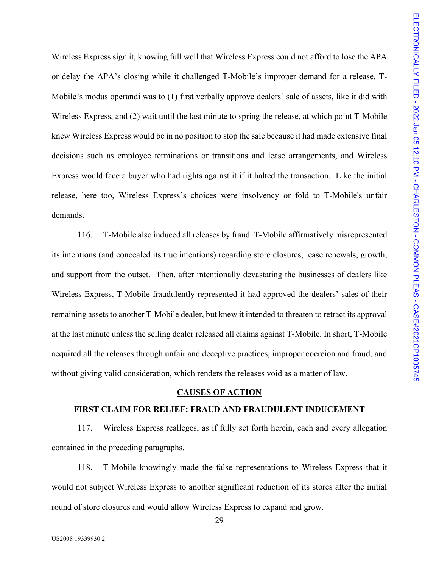Wireless Express sign it, knowing full well that Wireless Express could not afford to lose the APA or delay the APA's closing while it challenged T-Mobile's improper demand for a release. T-Mobile's modus operandi was to (1) first verbally approve dealers' sale of assets, like it did with Wireless Express, and (2) wait until the last minute to spring the release, at which point T-Mobile knew Wireless Express would be in no position to stop the sale because it had made extensive final decisions such as employee terminations or transitions and lease arrangements, and Wireless Express would face a buyer who had rights against it if it halted the transaction. Like the initial release, here too, Wireless Express's choices were insolvency or fold to T-Mobile's unfair demands.

116. T-Mobile also induced all releases by fraud. T-Mobile affirmatively misrepresented its intentions (and concealed its true intentions) regarding store closures, lease renewals, growth, and support from the outset. Then, after intentionally devastating the businesses of dealers like Wireless Express, T-Mobile fraudulently represented it had approved the dealers' sales of their remaining assets to another T-Mobile dealer, but knew it intended to threaten to retract its approval at the last minute unless the selling dealer released all claims against T-Mobile. In short, T-Mobile acquired all the releases through unfair and deceptive practices, improper coercion and fraud, and without giving valid consideration, which renders the releases void as a matter of law.

#### **CAUSES OF ACTION**

#### **FIRST CLAIM FOR RELIEF: FRAUD AND FRAUDULENT INDUCEMENT**

117. Wireless Express realleges, as if fully set forth herein, each and every allegation contained in the preceding paragraphs.

118. T-Mobile knowingly made the false representations to Wireless Express that it would not subject Wireless Express to another significant reduction of its stores after the initial round of store closures and would allow Wireless Express to expand and grow.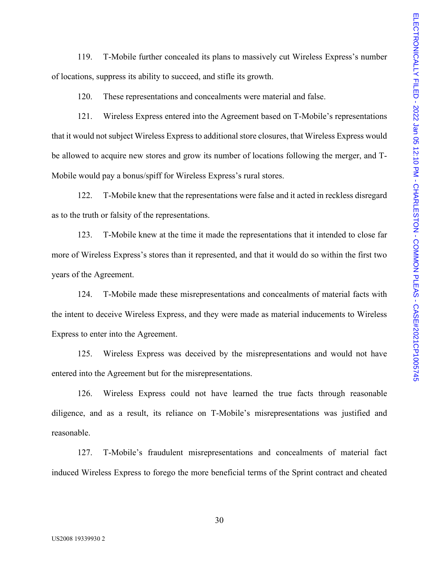119. T-Mobile further concealed its plans to massively cut Wireless Express's number of locations, suppress its ability to succeed, and stifle its growth.

120. These representations and concealments were material and false.

121. Wireless Express entered into the Agreement based on T-Mobile's representations that it would not subject Wireless Express to additional store closures, that Wireless Express would be allowed to acquire new stores and grow its number of locations following the merger, and T-Mobile would pay a bonus/spiff for Wireless Express's rural stores.

122. T-Mobile knew that the representations were false and it acted in reckless disregard as to the truth or falsity of the representations.

123. T-Mobile knew at the time it made the representations that it intended to close far more of Wireless Express's stores than it represented, and that it would do so within the first two years of the Agreement.

124. T-Mobile made these misrepresentations and concealments of material facts with the intent to deceive Wireless Express, and they were made as material inducements to Wireless Express to enter into the Agreement.

125. Wireless Express was deceived by the misrepresentations and would not have entered into the Agreement but for the misrepresentations.

126. Wireless Express could not have learned the true facts through reasonable diligence, and as a result, its reliance on T-Mobile's misrepresentations was justified and reasonable.

127. T-Mobile's fraudulent misrepresentations and concealments of material fact induced Wireless Express to forego the more beneficial terms of the Sprint contract and cheated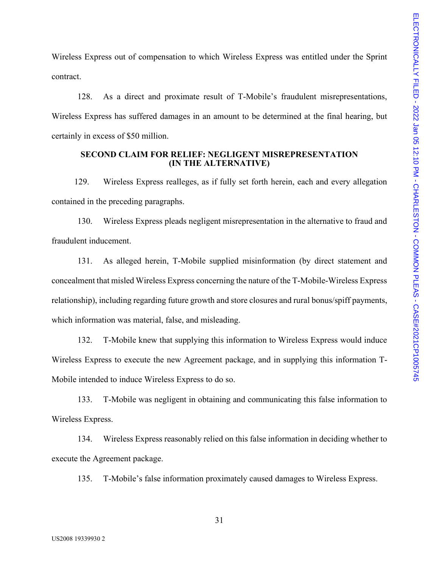Wireless Express out of compensation to which Wireless Express was entitled under the Sprint contract.

128. As a direct and proximate result of T-Mobile's fraudulent misrepresentations, Wireless Express has suffered damages in an amount to be determined at the final hearing, but certainly in excess of \$50 million.

#### **SECOND CLAIM FOR RELIEF: NEGLIGENT MISREPRESENTATION (IN THE ALTERNATIVE)**

129. Wireless Express realleges, as if fully set forth herein, each and every allegation contained in the preceding paragraphs.

130. Wireless Express pleads negligent misrepresentation in the alternative to fraud and fraudulent inducement.

131. As alleged herein, T-Mobile supplied misinformation (by direct statement and concealment that misled Wireless Express concerning the nature of the T-Mobile-Wireless Express relationship), including regarding future growth and store closures and rural bonus/spiff payments, which information was material, false, and misleading.

132. T-Mobile knew that supplying this information to Wireless Express would induce Wireless Express to execute the new Agreement package, and in supplying this information T-Mobile intended to induce Wireless Express to do so.

133. T-Mobile was negligent in obtaining and communicating this false information to Wireless Express.

134. Wireless Express reasonably relied on this false information in deciding whether to execute the Agreement package.

135. T-Mobile's false information proximately caused damages to Wireless Express.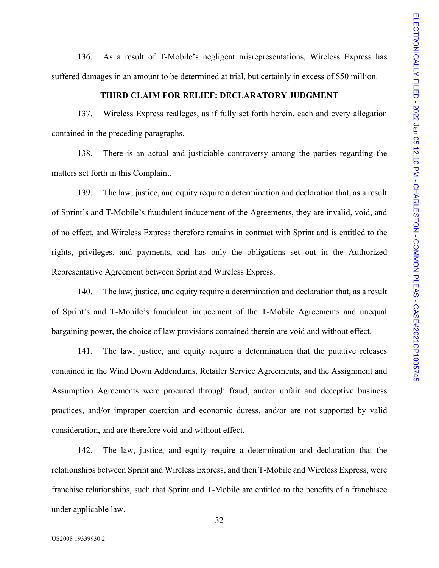136. As a result of T-Mobile's negligent misrepresentations, Wireless Express has suffered damages in an amount to be determined at trial, but certainly in excess of \$50 million.

#### **THIRD CLAIM FOR RELIEF: DECLARATORY JUDGMENT**

137. Wireless Express realleges, as if fully set forth herein, each and every allegation contained in the preceding paragraphs.

138. There is an actual and justiciable controversy among the parties regarding the matters set forth in this Complaint.

139. The law, justice, and equity require a determination and declaration that, as a result of Sprint's and T-Mobile's fraudulent inducement of the Agreements, they are invalid, void, and of no effect, and Wireless Express therefore remains in contract with Sprint and is entitled to the rights, privileges, and payments, and has only the obligations set out in the Authorized Representative Agreement between Sprint and Wireless Express.

140. The law, justice, and equity require a determination and declaration that, as a result of Sprint's and T-Mobile's fraudulent inducement of the T-Mobile Agreements and unequal bargaining power, the choice of law provisions contained therein are void and without effect.

141. The law, justice, and equity require a determination that the putative releases contained in the Wind Down Addendums, Retailer Service Agreements, and the Assignment and Assumption Agreements were procured through fraud, and/or unfair and deceptive business practices, and/or improper coercion and economic duress, and/or are not supported by valid consideration, and are therefore void and without effect.

142. The law, justice, and equity require a determination and declaration that the relationships between Sprint and Wireless Express, and then T-Mobile and Wireless Express, were franchise relationships, such that Sprint and T-Mobile are entitled to the benefits of a franchisee under applicable law.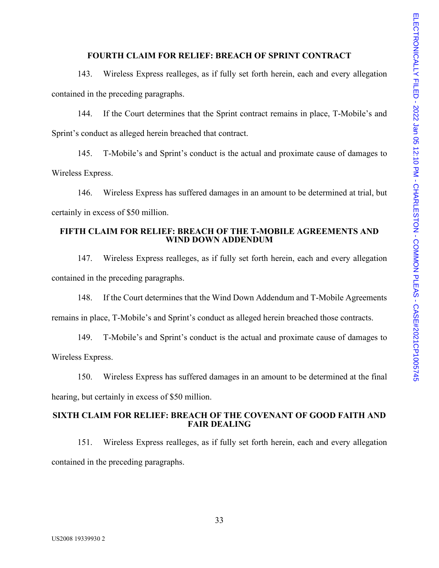#### **FOURTH CLAIM FOR RELIEF: BREACH OF SPRINT CONTRACT**

143. Wireless Express realleges, as if fully set forth herein, each and every allegation contained in the preceding paragraphs.

144. If the Court determines that the Sprint contract remains in place, T-Mobile's and Sprint's conduct as alleged herein breached that contract.

145. T-Mobile's and Sprint's conduct is the actual and proximate cause of damages to Wireless Express.

146. Wireless Express has suffered damages in an amount to be determined at trial, but certainly in excess of \$50 million.

#### **FIFTH CLAIM FOR RELIEF: BREACH OF THE T-MOBILE AGREEMENTS AND WIND DOWN ADDENDUM**

147. Wireless Express realleges, as if fully set forth herein, each and every allegation contained in the preceding paragraphs.

148. If the Court determines that the Wind Down Addendum and T-Mobile Agreements remains in place, T-Mobile's and Sprint's conduct as alleged herein breached those contracts.

149. T-Mobile's and Sprint's conduct is the actual and proximate cause of damages to Wireless Express.

150. Wireless Express has suffered damages in an amount to be determined at the final hearing, but certainly in excess of \$50 million.

#### **SIXTH CLAIM FOR RELIEF: BREACH OF THE COVENANT OF GOOD FAITH AND FAIR DEALING**

151. Wireless Express realleges, as if fully set forth herein, each and every allegation contained in the preceding paragraphs.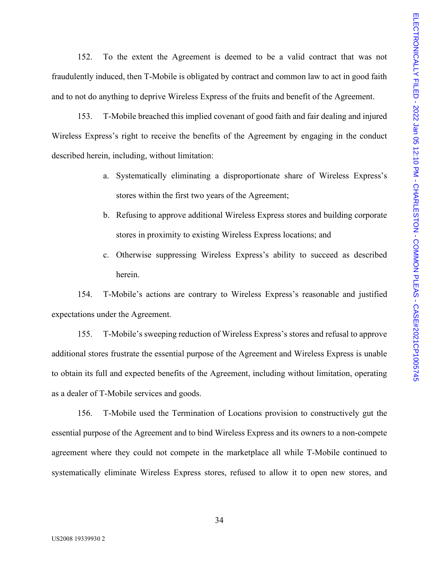152. To the extent the Agreement is deemed to be a valid contract that was not fraudulently induced, then T-Mobile is obligated by contract and common law to act in good faith and to not do anything to deprive Wireless Express of the fruits and benefit of the Agreement.

153. T-Mobile breached this implied covenant of good faith and fair dealing and injured Wireless Express's right to receive the benefits of the Agreement by engaging in the conduct described herein, including, without limitation:

- a. Systematically eliminating a disproportionate share of Wireless Express's stores within the first two years of the Agreement;
- b. Refusing to approve additional Wireless Express stores and building corporate stores in proximity to existing Wireless Express locations; and
- c. Otherwise suppressing Wireless Express's ability to succeed as described herein.

154. T-Mobile's actions are contrary to Wireless Express's reasonable and justified expectations under the Agreement.

155. T-Mobile's sweeping reduction of Wireless Express's stores and refusal to approve additional stores frustrate the essential purpose of the Agreement and Wireless Express is unable to obtain its full and expected benefits of the Agreement, including without limitation, operating as a dealer of T-Mobile services and goods.

156. T-Mobile used the Termination of Locations provision to constructively gut the essential purpose of the Agreement and to bind Wireless Express and its owners to a non-compete agreement where they could not compete in the marketplace all while T-Mobile continued to systematically eliminate Wireless Express stores, refused to allow it to open new stores, and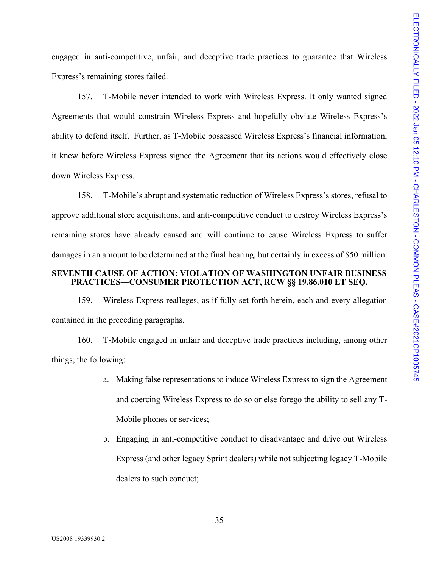engaged in anti-competitive, unfair, and deceptive trade practices to guarantee that Wireless Express's remaining stores failed.

157. T-Mobile never intended to work with Wireless Express. It only wanted signed Agreements that would constrain Wireless Express and hopefully obviate Wireless Express's ability to defend itself. Further, as T-Mobile possessed Wireless Express's financial information, it knew before Wireless Express signed the Agreement that its actions would effectively close down Wireless Express.

158. T-Mobile's abrupt and systematic reduction of Wireless Express's stores, refusal to approve additional store acquisitions, and anti-competitive conduct to destroy Wireless Express's remaining stores have already caused and will continue to cause Wireless Express to suffer damages in an amount to be determined at the final hearing, but certainly in excess of \$50 million.

#### **SEVENTH CAUSE OF ACTION: VIOLATION OF WASHINGTON UNFAIR BUSINESS PRACTICES—CONSUMER PROTECTION ACT, RCW §§ 19.86.010 ET SEQ.**

159. Wireless Express realleges, as if fully set forth herein, each and every allegation contained in the preceding paragraphs.

160. T-Mobile engaged in unfair and deceptive trade practices including, among other things, the following:

- a. Making false representations to induce Wireless Express to sign the Agreement and coercing Wireless Express to do so or else forego the ability to sell any T-Mobile phones or services;
- b. Engaging in anti-competitive conduct to disadvantage and drive out Wireless Express (and other legacy Sprint dealers) while not subjecting legacy T-Mobile dealers to such conduct;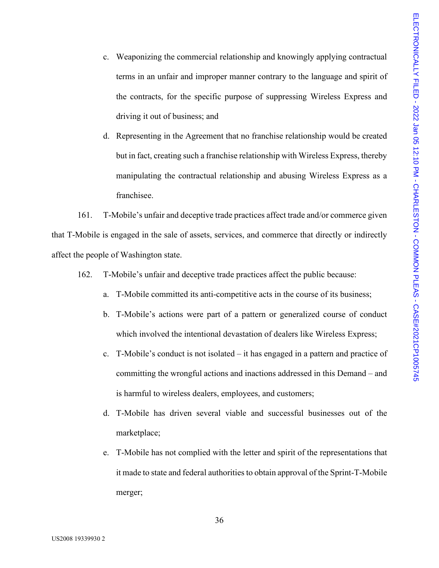- c. Weaponizing the commercial relationship and knowingly applying contractual terms in an unfair and improper manner contrary to the language and spirit of the contracts, for the specific purpose of suppressing Wireless Express and driving it out of business; and
- d. Representing in the Agreement that no franchise relationship would be created but in fact, creating such a franchise relationship with Wireless Express, thereby manipulating the contractual relationship and abusing Wireless Express as a franchisee.

161. T-Mobile's unfair and deceptive trade practices affect trade and/or commerce given that T-Mobile is engaged in the sale of assets, services, and commerce that directly or indirectly affect the people of Washington state.

- 162. T-Mobile's unfair and deceptive trade practices affect the public because:
	- a. T-Mobile committed its anti-competitive acts in the course of its business;
	- b. T-Mobile's actions were part of a pattern or generalized course of conduct which involved the intentional devastation of dealers like Wireless Express;
	- c. T-Mobile's conduct is not isolated it has engaged in a pattern and practice of committing the wrongful actions and inactions addressed in this Demand – and is harmful to wireless dealers, employees, and customers;
	- d. T-Mobile has driven several viable and successful businesses out of the marketplace;
	- e. T-Mobile has not complied with the letter and spirit of the representations that it made to state and federal authorities to obtain approval of the Sprint-T-Mobile merger;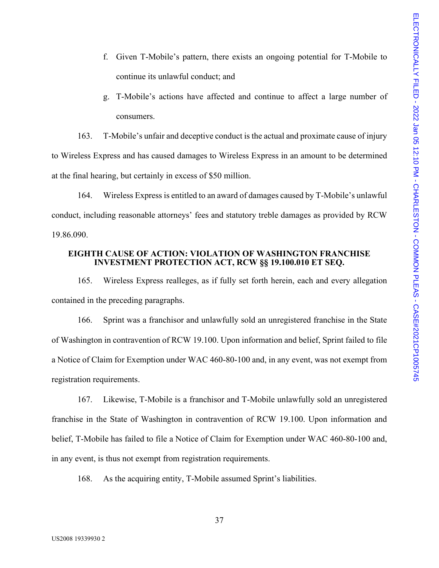- f. Given T-Mobile's pattern, there exists an ongoing potential for T-Mobile to continue its unlawful conduct; and
- g. T-Mobile's actions have affected and continue to affect a large number of consumers.

163. T-Mobile's unfair and deceptive conduct is the actual and proximate cause of injury to Wireless Express and has caused damages to Wireless Express in an amount to be determined at the final hearing, but certainly in excess of \$50 million.

164. Wireless Express is entitled to an award of damages caused by T-Mobile's unlawful conduct, including reasonable attorneys' fees and statutory treble damages as provided by RCW 19.86.090.

#### **EIGHTH CAUSE OF ACTION: VIOLATION OF WASHINGTON FRANCHISE INVESTMENT PROTECTION ACT, RCW §§ 19.100.010 ET SEQ.**

165. Wireless Express realleges, as if fully set forth herein, each and every allegation contained in the preceding paragraphs.

166. Sprint was a franchisor and unlawfully sold an unregistered franchise in the State of Washington in contravention of RCW 19.100. Upon information and belief, Sprint failed to file a Notice of Claim for Exemption under WAC 460-80-100 and, in any event, was not exempt from registration requirements.

167. Likewise, T-Mobile is a franchisor and T-Mobile unlawfully sold an unregistered franchise in the State of Washington in contravention of RCW 19.100. Upon information and belief, T-Mobile has failed to file a Notice of Claim for Exemption under WAC 460-80-100 and, in any event, is thus not exempt from registration requirements.

168. As the acquiring entity, T-Mobile assumed Sprint's liabilities.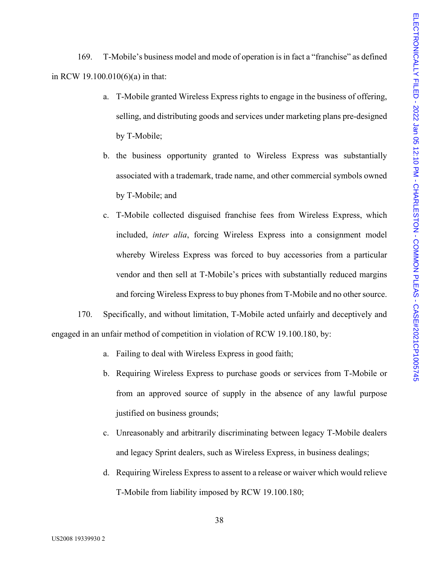169. T-Mobile's business model and mode of operation is in fact a "franchise" as defined in RCW 19.100.010(6)(a) in that:

- a. T-Mobile granted Wireless Express rights to engage in the business of offering, selling, and distributing goods and services under marketing plans pre-designed by T-Mobile;
- b. the business opportunity granted to Wireless Express was substantially associated with a trademark, trade name, and other commercial symbols owned by T-Mobile; and
- c. T-Mobile collected disguised franchise fees from Wireless Express, which included, *inter alia*, forcing Wireless Express into a consignment model whereby Wireless Express was forced to buy accessories from a particular vendor and then sell at T-Mobile's prices with substantially reduced margins and forcing Wireless Express to buy phones from T-Mobile and no other source.

170. Specifically, and without limitation, T-Mobile acted unfairly and deceptively and engaged in an unfair method of competition in violation of RCW 19.100.180, by:

- a. Failing to deal with Wireless Express in good faith;
- b. Requiring Wireless Express to purchase goods or services from T-Mobile or from an approved source of supply in the absence of any lawful purpose justified on business grounds;
- c. Unreasonably and arbitrarily discriminating between legacy T-Mobile dealers and legacy Sprint dealers, such as Wireless Express, in business dealings;
- d. Requiring Wireless Express to assent to a release or waiver which would relieve T-Mobile from liability imposed by RCW 19.100.180;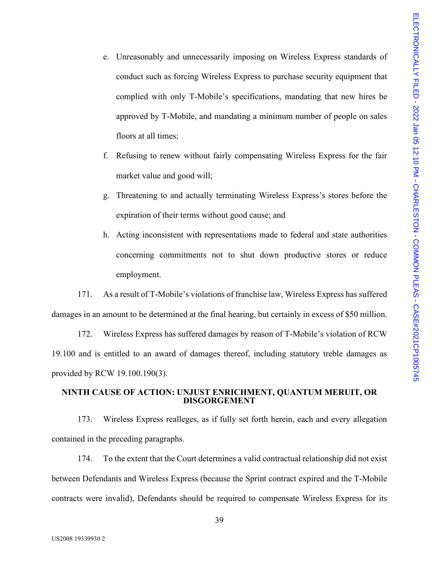- e. Unreasonably and unnecessarily imposing on Wireless Express standards of conduct such as forcing Wireless Express to purchase security equipment that complied with only T-Mobile's specifications, mandating that new hires be approved by T-Mobile, and mandating a minimum number of people on sales floors at all times;
- f. Refusing to renew without fairly compensating Wireless Express for the fair market value and good will;
- g. Threatening to and actually terminating Wireless Express's stores before the expiration of their terms without good cause; and
- h. Acting inconsistent with representations made to federal and state authorities concerning commitments not to shut down productive stores or reduce employment.

171. As a result of T-Mobile's violations of franchise law, Wireless Express has suffered damages in an amount to be determined at the final hearing, but certainly in excess of \$50 million.

172. Wireless Express has suffered damages by reason of T-Mobile's violation of RCW 19.100 and is entitled to an award of damages thereof, including statutory treble damages as provided by RCW 19.100.190(3).

#### **NINTH CAUSE OF ACTION: UNJUST ENRICHMENT, QUANTUM MERUIT, OR DISGORGEMENT**

173. Wireless Express realleges, as if fully set forth herein, each and every allegation contained in the preceding paragraphs.

174. To the extent that the Court determines a valid contractual relationship did not exist between Defendants and Wireless Express (because the Sprint contract expired and the T-Mobile contracts were invalid), Defendants should be required to compensate Wireless Express for its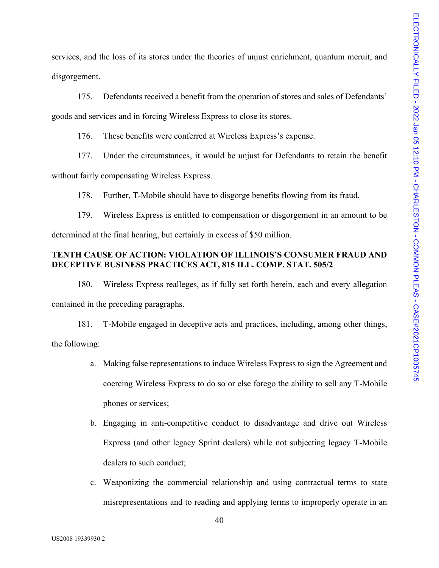services, and the loss of its stores under the theories of unjust enrichment, quantum meruit, and disgorgement.

175. Defendants received a benefit from the operation of stores and sales of Defendants' goods and services and in forcing Wireless Express to close its stores.

176. These benefits were conferred at Wireless Express's expense.

177. Under the circumstances, it would be unjust for Defendants to retain the benefit

without fairly compensating Wireless Express.

178. Further, T-Mobile should have to disgorge benefits flowing from its fraud.

179. Wireless Express is entitled to compensation or disgorgement in an amount to be determined at the final hearing, but certainly in excess of \$50 million.

#### **TENTH CAUSE OF ACTION: VIOLATION OF ILLINOIS'S CONSUMER FRAUD AND DECEPTIVE BUSINESS PRACTICES ACT, 815 ILL. COMP. STAT. 505/2**

180. Wireless Express realleges, as if fully set forth herein, each and every allegation contained in the preceding paragraphs.

181. T-Mobile engaged in deceptive acts and practices, including, among other things, the following:

- a. Making false representations to induce Wireless Express to sign the Agreement and coercing Wireless Express to do so or else forego the ability to sell any T-Mobile phones or services;
- b. Engaging in anti-competitive conduct to disadvantage and drive out Wireless Express (and other legacy Sprint dealers) while not subjecting legacy T-Mobile dealers to such conduct;
- c. Weaponizing the commercial relationship and using contractual terms to state misrepresentations and to reading and applying terms to improperly operate in an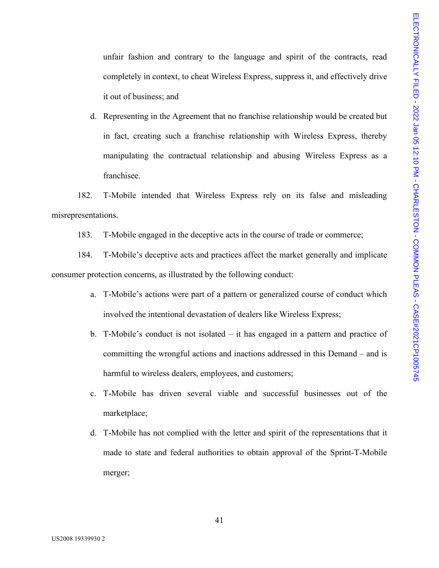unfair fashion and contrary to the language and spirit of the contracts, read completely in context, to cheat Wireless Express, suppress it, and effectively drive it out of business; and

d. Representing in the Agreement that no franchise relationship would be created but in fact, creating such a franchise relationship with Wireless Express, thereby manipulating the contractual relationship and abusing Wireless Express as a franchisee.

182. T-Mobile intended that Wireless Express rely on its false and misleading misrepresentations.

183. T-Mobile engaged in the deceptive acts in the course of trade or commerce;

184. T-Mobile's deceptive acts and practices affect the market generally and implicate consumer protection concerns, as illustrated by the following conduct:

- a. T-Mobile's actions were part of a pattern or generalized course of conduct which involved the intentional devastation of dealers like Wireless Express;
- b. T-Mobile's conduct is not isolated it has engaged in a pattern and practice of committing the wrongful actions and inactions addressed in this Demand – and is harmful to wireless dealers, employees, and customers;
- c. T-Mobile has driven several viable and successful businesses out of the marketplace;
- d. T-Mobile has not complied with the letter and spirit of the representations that it made to state and federal authorities to obtain approval of the Sprint-T-Mobile merger;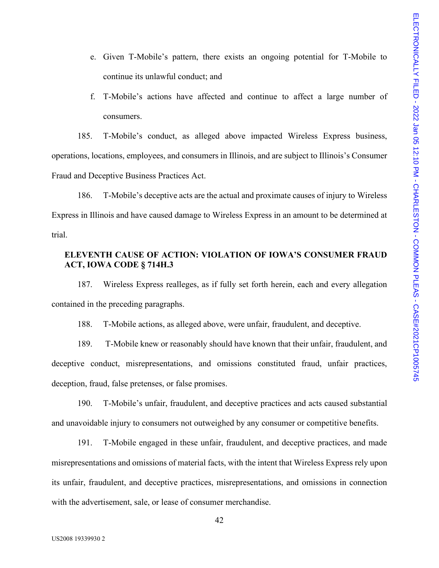- e. Given T-Mobile's pattern, there exists an ongoing potential for T-Mobile to continue its unlawful conduct; and
- f. T-Mobile's actions have affected and continue to affect a large number of consumers.

185. T-Mobile's conduct, as alleged above impacted Wireless Express business, operations, locations, employees, and consumers in Illinois, and are subject to Illinois's Consumer Fraud and Deceptive Business Practices Act.

186. T-Mobile's deceptive acts are the actual and proximate causes of injury to Wireless Express in Illinois and have caused damage to Wireless Express in an amount to be determined at trial.

#### **ELEVENTH CAUSE OF ACTION: VIOLATION OF IOWA'S CONSUMER FRAUD ACT, IOWA CODE § 714H.3**

187. Wireless Express realleges, as if fully set forth herein, each and every allegation contained in the preceding paragraphs.

188. T-Mobile actions, as alleged above, were unfair, fraudulent, and deceptive.

189. T-Mobile knew or reasonably should have known that their unfair, fraudulent, and deceptive conduct, misrepresentations, and omissions constituted fraud, unfair practices, deception, fraud, false pretenses, or false promises.

190. T-Mobile's unfair, fraudulent, and deceptive practices and acts caused substantial and unavoidable injury to consumers not outweighed by any consumer or competitive benefits.

191. T-Mobile engaged in these unfair, fraudulent, and deceptive practices, and made misrepresentations and omissions of material facts, with the intent that Wireless Express rely upon its unfair, fraudulent, and deceptive practices, misrepresentations, and omissions in connection with the advertisement, sale, or lease of consumer merchandise.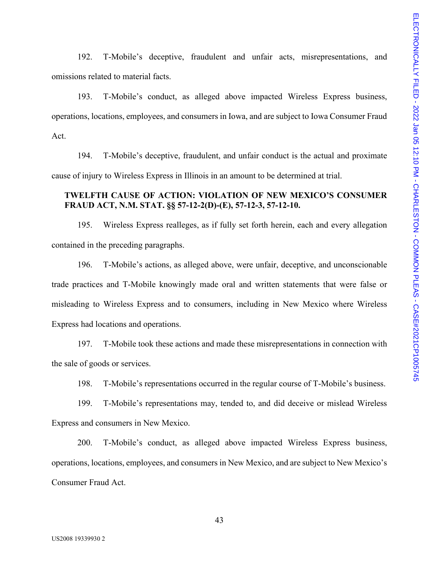192. T-Mobile's deceptive, fraudulent and unfair acts, misrepresentations, and omissions related to material facts.

193. T-Mobile's conduct, as alleged above impacted Wireless Express business, operations, locations, employees, and consumers in Iowa, and are subject to Iowa Consumer Fraud Act.

194. T-Mobile's deceptive, fraudulent, and unfair conduct is the actual and proximate cause of injury to Wireless Express in Illinois in an amount to be determined at trial.

#### **TWELFTH CAUSE OF ACTION: VIOLATION OF NEW MEXICO'S CONSUMER FRAUD ACT, N.M. STAT. §§ 57-12-2(D)-(E), 57-12-3, 57-12-10.**

195. Wireless Express realleges, as if fully set forth herein, each and every allegation contained in the preceding paragraphs.

196. T-Mobile's actions, as alleged above, were unfair, deceptive, and unconscionable trade practices and T-Mobile knowingly made oral and written statements that were false or misleading to Wireless Express and to consumers, including in New Mexico where Wireless Express had locations and operations.

197. T-Mobile took these actions and made these misrepresentations in connection with the sale of goods or services.

198. T-Mobile's representations occurred in the regular course of T-Mobile's business.

199. T-Mobile's representations may, tended to, and did deceive or mislead Wireless Express and consumers in New Mexico.

200. T-Mobile's conduct, as alleged above impacted Wireless Express business, operations, locations, employees, and consumers in New Mexico, and are subject to New Mexico's Consumer Fraud Act.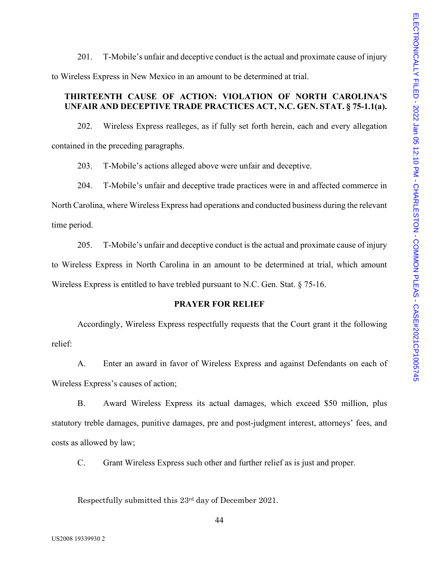201. T-Mobile's unfair and deceptive conduct is the actual and proximate cause of injury to Wireless Express in New Mexico in an amount to be determined at trial.

### **THIRTEENTH CAUSE OF ACTION: VIOLATION OF NORTH CAROLINA'S UNFAIR AND DECEPTIVE TRADE PRACTICES ACT, N.C. GEN. STAT. § 75-1.1(a).**

202. Wireless Express realleges, as if fully set forth herein, each and every allegation contained in the preceding paragraphs.

203. T-Mobile's actions alleged above were unfair and deceptive.

204. T-Mobile's unfair and deceptive trade practices were in and affected commerce in North Carolina, where Wireless Express had operations and conducted business during the relevant time period.

205. T-Mobile's unfair and deceptive conduct is the actual and proximate cause of injury to Wireless Express in North Carolina in an amount to be determined at trial, which amount Wireless Express is entitled to have trebled pursuant to N.C. Gen. Stat. § 75-16.

#### **PRAYER FOR RELIEF**

Accordingly, Wireless Express respectfully requests that the Court grant it the following relief:

A. Enter an award in favor of Wireless Express and against Defendants on each of Wireless Express's causes of action;

B. Award Wireless Express its actual damages, which exceed \$50 million, plus statutory treble damages, punitive damages, pre and post-judgment interest, attorneys' fees, and costs as allowed by law;

C. Grant Wireless Express such other and further relief as is just and proper.

Respectfully submitted this 23rd day of December 2021.